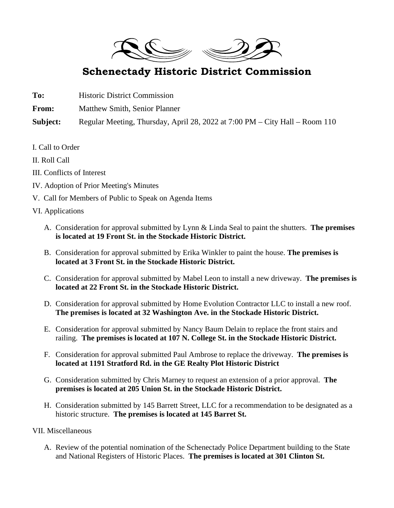

## **Schenectady Historic District Commission**

**To:** Historic District Commission **From:** Matthew Smith, Senior Planner

**Subject:** Regular Meeting, Thursday, April 28, 2022 at 7:00 PM – City Hall – Room 110

I. Call to Order

II. Roll Call

- III. Conflicts of Interest
- IV. Adoption of Prior Meeting's Minutes
- V. Call for Members of Public to Speak on Agenda Items
- VI. Applications
	- A. Consideration for approval submitted by Lynn & Linda Seal to paint the shutters. **The premises is located at 19 Front St. in the Stockade Historic District.**
	- B. Consideration for approval submitted by Erika Winkler to paint the house. **The premises is located at 3 Front St. in the Stockade Historic District.**
	- C. Consideration for approval submitted by Mabel Leon to install a new driveway. **The premises is located at 22 Front St. in the Stockade Historic District.**
	- D. Consideration for approval submitted by Home Evolution Contractor LLC to install a new roof. **The premises is located at 32 Washington Ave. in the Stockade Historic District.**
	- E. Consideration for approval submitted by Nancy Baum Delain to replace the front stairs and railing. **The premises is located at 107 N. College St. in the Stockade Historic District.**
	- F. Consideration for approval submitted Paul Ambrose to replace the driveway. **The premises is located at 1191 Stratford Rd. in the GE Realty Plot Historic District**
	- G. Consideration submitted by Chris Marney to request an extension of a prior approval. **The premises is located at 205 Union St. in the Stockade Historic District.**
	- H. Consideration submitted by 145 Barrett Street, LLC for a recommendation to be designated as a historic structure. **The premises is located at 145 Barret St.**

## VII. Miscellaneous

A. Review of the potential nomination of the Schenectady Police Department building to the State and National Registers of Historic Places. **The premises is located at 301 Clinton St.**